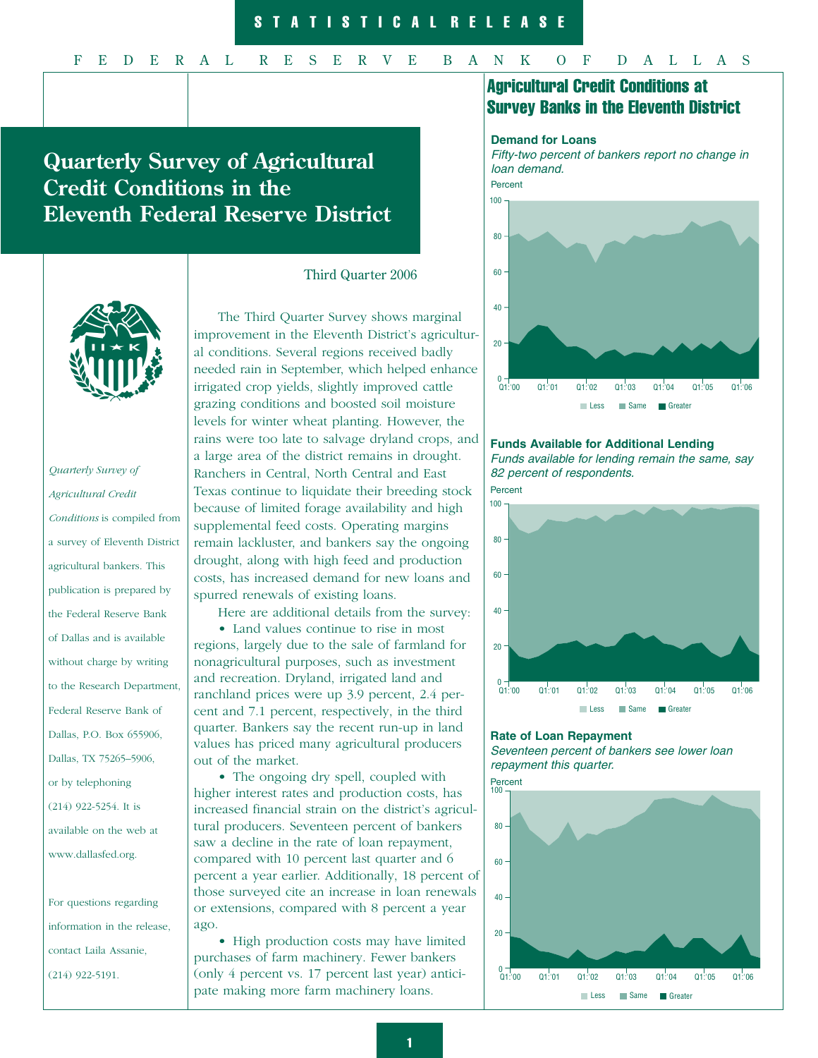## F E D E R A L R E S E R V E B A N K O F D A L L A S

# **Quarterly Survey of Agricultural Credit Conditions in the Eleventh Federal Reserve District**



# *Quarterly Survey of Agricultural Credit Conditions* is compiled from a survey of Eleventh District agricultural bankers. This publication is prepared by the Federal Reserve Bank of Dallas and is available without charge by writing to the Research Department, Federal Reserve Bank of Dallas, P.O. Box 655906, Dallas, TX 75265–5906, or by telephoning (214) 922-5254. It is available on the web at www.dallasfed.org.

For questions regarding information in the release, contact Laila Assanie, (214) 922-5191.

#### Third Quarter 2006

The Third Quarter Survey shows marginal improvement in the Eleventh District's agricultural conditions. Several regions received badly needed rain in September, which helped enhance irrigated crop yields, slightly improved cattle grazing conditions and boosted soil moisture levels for winter wheat planting. However, the rains were too late to salvage dryland crops, and a large area of the district remains in drought. Ranchers in Central, North Central and East Texas continue to liquidate their breeding stock because of limited forage availability and high supplemental feed costs. Operating margins remain lackluster, and bankers say the ongoing drought, along with high feed and production costs, has increased demand for new loans and spurred renewals of existing loans.

Here are additional details from the survey: • Land values continue to rise in most regions, largely due to the sale of farmland for nonagricultural purposes, such as investment

and recreation. Dryland, irrigated land and ranchland prices were up 3.9 percent, 2.4 percent and 7.1 percent, respectively, in the third quarter. Bankers say the recent run-up in land values has priced many agricultural producers out of the market.

• The ongoing dry spell, coupled with higher interest rates and production costs, has increased financial strain on the district's agricultural producers. Seventeen percent of bankers saw a decline in the rate of loan repayment, compared with 10 percent last quarter and 6 percent a year earlier. Additionally, 18 percent of those surveyed cite an increase in loan renewals or extensions, compared with 8 percent a year ago.

• High production costs may have limited purchases of farm machinery. Fewer bankers (only 4 percent vs. 17 percent last year) anticipate making more farm machinery loans.

# Agricultural Credit Conditions at Survey Banks in the Eleventh District

#### **Demand for Loans**

Fifty-two percent of bankers report no change in loan demand. Percent



## **Funds Available for Additional Lending**

Funds available for lending remain the same, say 82 percent of respondents.

Percent



#### **Rate of Loan Repayment**

Seventeen percent of bankers see lower loan repayment this quarter.

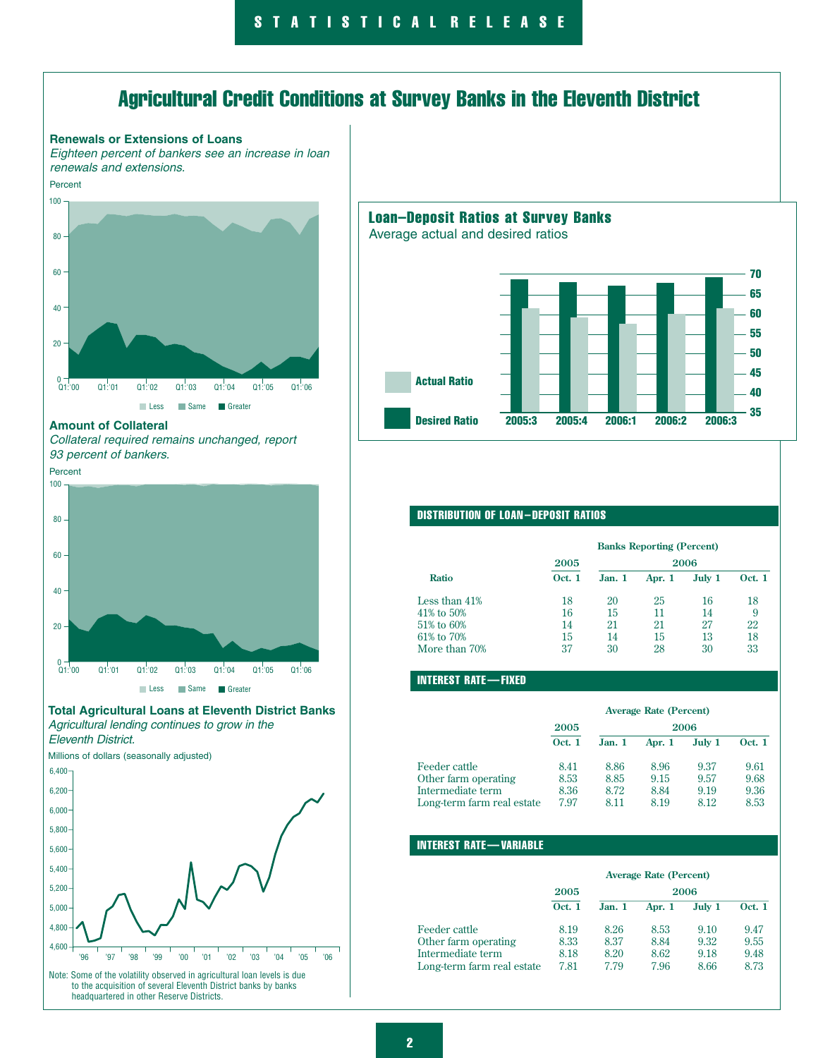# Agricultural Credit Conditions at Survey Banks in the Eleventh District



Note: Some of the volatility observed in agricultural loan levels is due to the acquisition of several Eleventh District banks by banks headquartered in other Reserve Districts.

## Loan–Deposit Ratios at Survey Banks

Average actual and desired ratios



#### DISTRIBUTION OF LOAN – DEPOSIT RATIOS

|               | <b>Banks Reporting (Percent)</b> |        |        |        |               |  |
|---------------|----------------------------------|--------|--------|--------|---------------|--|
|               | 2005                             | 2006   |        |        |               |  |
| <b>Ratio</b>  | <b>Oct.</b> 1                    | Jan. 1 | Apr. 1 | July 1 | <b>Oct.</b> 1 |  |
| Less than 41% | 18                               | 20     | 25     | 16     | 18            |  |
| 41% to 50%    | 16                               | 15     | 11     | 14     | 9             |  |
| 51% to 60%    | 14                               | 21     | 21     | 27     | 22            |  |
| 61% to 70%    | 15                               | 14     | 15     | 13     | 18            |  |
| More than 70% | 37                               | 30     | 28     | 30     | 33            |  |

#### INTEREST RATE — FIXED

|                            | <b>Average Rate (Percent)</b> |       |          |        |               |
|----------------------------|-------------------------------|-------|----------|--------|---------------|
|                            | 2005<br>2006                  |       |          |        |               |
|                            | <b>Oct. 1</b>                 | Jan.1 | Apr. $1$ | July 1 | <b>Oct. 1</b> |
| Feeder cattle              | 8.41                          | 8.86  | 8.96     | 9.37   | 9.61          |
| Other farm operating       | 8.53                          | 8.85  | 9.15     | 9.57   | 9.68          |
| Intermediate term          | 8.36                          | 8.72  | 8.84     | 9.19   | 9.36          |
| Long-term farm real estate | 7.97                          | 8.11  | 8.19     | 8.12   | 8.53          |

#### INTEREST RATE — VARIABLE

|                            | <b>Average Rate (Percent)</b> |        |          |        |               |
|----------------------------|-------------------------------|--------|----------|--------|---------------|
|                            | 2005                          | 2006   |          |        |               |
|                            | <b>Oct. 1</b>                 | Jan. 1 | Apr. $1$ | July 1 | <b>Oct. 1</b> |
| Feeder cattle              | 8.19                          | 8.26   | 8.53     | 9.10   | 9.47          |
| Other farm operating       | 8.33                          | 8.37   | 8.84     | 9.32   | 9.55          |
| Intermediate term          | 8.18                          | 8.20   | 8.62     | 9.18   | 9.48          |
| Long-term farm real estate | 7.81                          | 7.79   | 7.96     | 8.66   | 8.73          |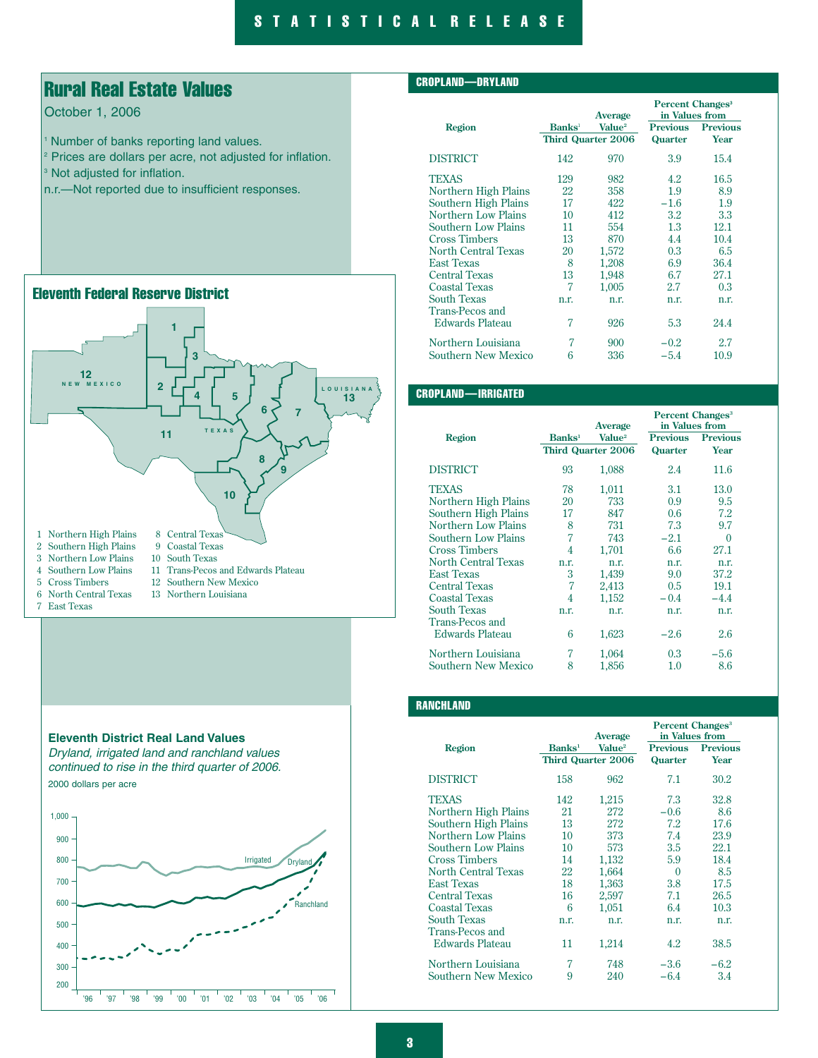# Rural Real Estate Values

## October 1, 2006

- <sup>1</sup> Number of banks reporting land values.
- <sup>2</sup> Prices are dollars per acre, not adjusted for inflation.
- <sup>3</sup> Not adjusted for inflation.
- n.r.—Not reported due to insufficient responses.





#### CROPLAND—DRYLAND

|                            |                           | Average                   | <b>Percent Changes<sup>3</sup></b><br>in Values from |                 |
|----------------------------|---------------------------|---------------------------|------------------------------------------------------|-----------------|
| Region                     | <b>Banks</b> <sup>1</sup> | Value <sup>2</sup>        | <b>Previous</b>                                      | <b>Previous</b> |
|                            |                           | <b>Third Quarter 2006</b> | Quarter                                              | Year            |
| <b>DISTRICT</b>            | 142                       | 970                       | 3.9                                                  | 15.4            |
| <b>TEXAS</b>               | 129                       | 982                       | 4.2                                                  | 16.5            |
| Northern High Plains       | 22                        | 358                       | 1.9                                                  | 8.9             |
| Southern High Plains       | 17                        | 422                       | $-1.6$                                               | 1.9             |
| Northern Low Plains        | 10                        | 412                       | 3.2                                                  | 3.3             |
| Southern Low Plains        | 11                        | 554                       | 1.3                                                  | 12.1            |
| <b>Cross Timbers</b>       | 13                        | 870                       | 4.4                                                  | 10.4            |
| <b>North Central Texas</b> | 20                        | 1,572                     | 0.3                                                  | 6.5             |
| <b>East Texas</b>          | 8                         | 1,208                     | 6.9                                                  | 36.4            |
| <b>Central Texas</b>       | 13                        | 1,948                     | 6.7                                                  | 27.1            |
| <b>Coastal Texas</b>       | 7                         | 1.005                     | 2.7                                                  | 0.3             |
| <b>South Texas</b>         | n.r.                      | n.r.                      | n.r.                                                 | n.r.            |
| <b>Trans-Pecos and</b>     |                           |                           |                                                      |                 |
| <b>Edwards Plateau</b>     | 7                         | 926                       | 5.3                                                  | 24.4            |
| Northern Louisiana         | 7                         | 900                       | $-0.2$                                               | 2.7             |
| <b>Southern New Mexico</b> | 6                         | 336                       | $-5.4$                                               | 10.9            |

## CROPLAND—IRRIGATED

|                            |                    | Average                   | Percent Changes <sup>3</sup><br>in Values from |                 |
|----------------------------|--------------------|---------------------------|------------------------------------------------|-----------------|
| Region                     | Banks <sup>1</sup> | Value <sup>2</sup>        | <b>Previous</b>                                | <b>Previous</b> |
|                            |                    | <b>Third Quarter 2006</b> | Quarter                                        | Year            |
| <b>DISTRICT</b>            | 93                 | 1,088                     | 2.4                                            | 11.6            |
| <b>TEXAS</b>               | 78                 | 1,011                     | 3.1                                            | 13.0            |
| Northern High Plains       | 20                 | 733                       | 0.9                                            | 9.5             |
| Southern High Plains       | 17                 | 847                       | 0.6                                            | 7.2             |
| Northern Low Plains        | 8                  | 731                       | 7.3                                            | 9.7             |
| <b>Southern Low Plains</b> | 7                  | 743                       | $-2.1$                                         | $\Omega$        |
| <b>Cross Timbers</b>       | 4                  | 1,701                     | 6.6                                            | 27.1            |
| <b>North Central Texas</b> | n.r.               | n.r.                      | n.r.                                           | n.r.            |
| <b>East Texas</b>          | 3                  | 1,439                     | 9.0                                            | 37.2            |
| <b>Central Texas</b>       | 7                  | 2,413                     | 0.5                                            | 19.1            |
| <b>Coastal Texas</b>       | 4                  | 1,152                     | $-0.4$                                         | $-4.4$          |
| <b>South Texas</b>         | n.r.               | n.r.                      | n.r.                                           | n.r.            |
| <b>Trans-Pecos and</b>     |                    |                           |                                                |                 |
| Edwards Plateau            | 6                  | 1,623                     | $-2.6$                                         | 2.6             |
| Northern Louisiana         | 7                  | 1,064                     | 0.3                                            | $-5.6$          |
| Southern New Mexico        | 8                  | 1,856                     | 1.0                                            | 8.6             |

#### **RANCHLAND**

|                            |                    | Average                   | Percent Changes <sup>3</sup><br>in Values from |                 |  |
|----------------------------|--------------------|---------------------------|------------------------------------------------|-----------------|--|
| <b>Region</b>              | Banks <sup>1</sup> | Value <sup>2</sup>        | <b>Previous</b>                                | <b>Previous</b> |  |
|                            |                    | <b>Third Quarter 2006</b> | Quarter                                        | Year            |  |
| <b>DISTRICT</b>            | 158                | 962                       | 7.1                                            | 30.2            |  |
| <b>TEXAS</b>               | 142                | 1,215                     | 7.3                                            | 32.8            |  |
| Northern High Plains       | 21                 | 272                       | $-0.6$                                         | 8.6             |  |
| Southern High Plains       | 13                 | 272                       | 7.2                                            | 17.6            |  |
| <b>Northern Low Plains</b> | 10                 | 373                       | 7.4                                            | 23.9            |  |
| <b>Southern Low Plains</b> | 10                 | 573                       | 3.5                                            | 22.1            |  |
| <b>Cross Timbers</b>       | 14                 | 1,132                     | 5.9                                            | 18.4            |  |
| <b>North Central Texas</b> | 22                 | 1,664                     | 0                                              | 8.5             |  |
| <b>East Texas</b>          | 18                 | 1,363                     | 3.8                                            | 17.5            |  |
| <b>Central Texas</b>       | 16                 | 2,597                     | 7.1                                            | 26.5            |  |
| <b>Coastal Texas</b>       | 6                  | 1.051                     | 6.4                                            | 10.3            |  |
| <b>South Texas</b>         | n.r.               | n.r.                      | n.r.                                           | n.r.            |  |
| <b>Trans-Pecos and</b>     |                    |                           |                                                |                 |  |
| Edwards Plateau            | 11                 | 1,214                     | 4.2                                            | 38.5            |  |
| Northern Louisiana         | 7                  | 748                       | $-3.6$                                         | $-6.2$          |  |
| Southern New Mexico        | 9                  | 240                       | $-6.4\,$                                       | 3.4             |  |